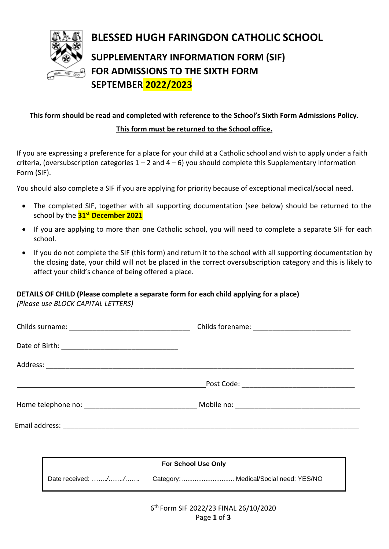

# **BLESSED HUGH FARINGDON CATHOLIC SCHOOL SUPPLEMENTARY INFORMATION FORM (SIF) FOR ADMISSIONS TO THE SIXTH FORM SEPTEMBER 2022/2023**

# **This form should be read and completed with reference to the School's Sixth Form Admissions Policy. This form must be returned to the School office.**

If you are expressing a preference for a place for your child at a Catholic school and wish to apply under a faith criteria, (oversubscription categories  $1 - 2$  and  $4 - 6$ ) you should complete this Supplementary Information Form (SIF).

You should also complete a SIF if you are applying for priority because of exceptional medical/social need.

- The completed SIF, together with all supporting documentation (see below) should be returned to the school by the **31st December 2021**
- If you are applying to more than one Catholic school, you will need to complete a separate SIF for each school.
- If you do not complete the SIF (this form) and return it to the school with all supporting documentation by the closing date, your child will not be placed in the correct oversubscription category and this is likely to affect your child's chance of being offered a place.

#### **DETAILS OF CHILD (Please complete a separate form for each child applying for a place)**

*(Please use BLOCK CAPITAL LETTERS)*

|  | <b>For School Use Only</b> |  |  |
|--|----------------------------|--|--|
|  | Date received: //          |  |  |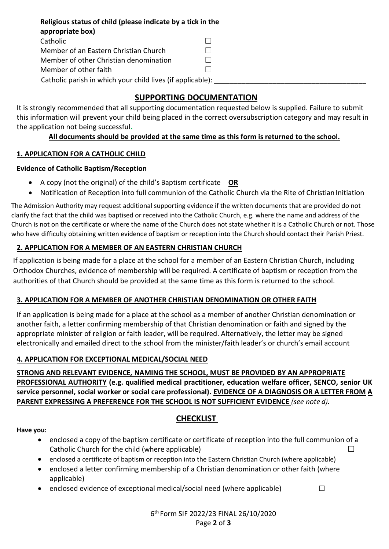**Religious status of child (please indicate by a tick in the appropriate box)**  Catholic □ Member of an Eastern Christian Church  $\Box$ Member of other Christian denomination  $\Box$ Member of other faith and the state of  $\Box$ Catholic parish in which your child lives (if applicable):

### **SUPPORTING DOCUMENTATION**

It is strongly recommended that all supporting documentation requested below is supplied. Failure to submit this information will prevent your child being placed in the correct oversubscription category and may result in the application not being successful**.**

#### **All documents should be provided at the same time as this form is returned to the school.**

#### **1. APPLICATION FOR A CATHOLIC CHILD**

#### **Evidence of Catholic Baptism/Reception**

- A copy (not the original) of the child's Baptism certificate **OR**
- Notification of Reception into full communion of the Catholic Church via the Rite of Christian Initiation

The Admission Authority may request additional supporting evidence if the written documents that are provided do not clarify the fact that the child was baptised or received into the Catholic Church, e.g. where the name and address of the Church is not on the certificate or where the name of the Church does not state whether it is a Catholic Church or not. Those who have difficulty obtaining written evidence of baptism or reception into the Church should contact their Parish Priest.

#### **2. APPLICATION FOR A MEMBER OF AN EASTERN CHRISTIAN CHURCH**

If application is being made for a place at the school for a member of an Eastern Christian Church, including Orthodox Churches, evidence of membership will be required. A certificate of baptism or reception from the authorities of that Church should be provided at the same time as this form is returned to the school.

#### **3. APPLICATION FOR A MEMBER OF ANOTHER CHRISTIAN DENOMINATION OR OTHER FAITH**

If an application is being made for a place at the school as a member of another Christian denomination or another faith, a letter confirming membership of that Christian denomination or faith and signed by the appropriate minister of religion or faith leader, will be required. Alternatively, the letter may be signed electronically and emailed direct to the school from the minister/faith leader's or church's email account

#### **4. APPLICATION FOR EXCEPTIONAL MEDICAL/SOCIAL NEED**

**STRONG AND RELEVANT EVIDENCE***,* **NAMING THE SCHOOL, MUST BE PROVIDED BY AN APPROPRIATE PROFESSIONAL AUTHORITY (e.g. qualified medical practitioner, education welfare officer, SENCO, senior UK service personnel, social worker or social care professional). EVIDENCE OF A DIAGNOSIS OR A LETTER FROM A PARENT EXPRESSING A PREFERENCE FOR THE SCHOOL IS NOT SUFFICIENT EVIDENCE** *(see note d).*

## **CHECKLIST**

**Have you:**

- enclosed a copy of the baptism certificate or certificate of reception into the full communion of a Catholic Church for the child (where applicable)  $\Box$
- enclosed a certificate of baptism or reception into the Eastern Christian Church (where applicable)
- enclosed a letter confirming membership of a Christian denomination or other faith (where applicable)
- enclosed evidence of exceptional medical/social need (where applicable)  $\Box$

6 th Form SIF 2022/23 FINAL 26/10/2020 Page **2** of **3**